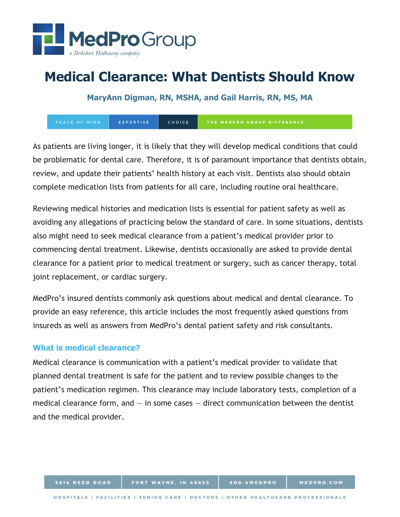

# **Medical Clearance: What Dentists Should Know**

**MaryAnn Digman, RN, MSHA, and Gail Harris, RN, MS, MA**

PEACE OF MIND EXPERTISE CHOICE THE MEDPRO GROUP DIFFERENCE

As patients are living longer, it is likely that they will develop medical conditions that could be problematic for dental care. Therefore, it is of paramount importance that dentists obtain, review, and update their patients' health history at each visit. Dentists also should obtain complete medication lists from patients for all care, including routine oral healthcare.

Reviewing medical histories and medication lists is essential for patient safety as well as avoiding any allegations of practicing below the standard of care. In some situations, dentists also might need to seek medical clearance from a patient's medical provider prior to commencing dental treatment. Likewise, dentists occasionally are asked to provide dental clearance for a patient prior to medical treatment or surgery, such as cancer therapy, total joint replacement, or cardiac surgery.

MedPro's insured dentists commonly ask questions about medical and dental clearance. To provide an easy reference, this article includes the most frequently asked questions from insureds as well as answers from MedPro's dental patient safety and risk consultants.

# **What is medical clearance?**

Medical clearance is communication with a patient's medical provider to validate that planned dental treatment is safe for the patient and to review possible changes to the patient's medication regimen. This clearance may include laboratory tests, completion of a medical clearance form, and  $-$  in some cases  $-$  direct communication between the dentist and the medical provider.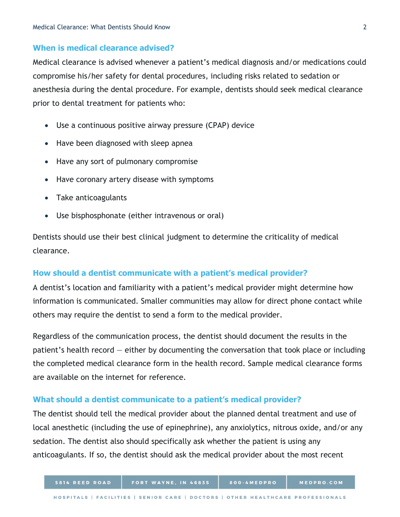# **When is medical clearance advised?**

Medical clearance is advised whenever a patient's medical diagnosis and/or medications could compromise his/her safety for dental procedures, including risks related to sedation or anesthesia during the dental procedure. For example, dentists should seek medical clearance prior to dental treatment for patients who:

- Use a continuous positive airway pressure (CPAP) device
- Have been diagnosed with sleep apnea
- Have any sort of pulmonary compromise
- Have coronary artery disease with symptoms
- Take anticoagulants
- Use bisphosphonate (either intravenous or oral)

Dentists should use their best clinical judgment to determine the criticality of medical clearance.

## **How should a dentist communicate with a patient's medical provider?**

A dentist's location and familiarity with a patient's medical provider might determine how information is communicated. Smaller communities may allow for direct phone contact while others may require the dentist to send a form to the medical provider.

Regardless of the communication process, the dentist should document the results in the patient's health record — either by documenting the conversation that took place or including the completed medical clearance form in the health record. Sample medical clearance forms are available on the internet for reference.

#### **What should a dentist communicate to a patient's medical provider?**

The dentist should tell the medical provider about the planned dental treatment and use of local anesthetic (including the use of epinephrine), any anxiolytics, nitrous oxide, and/or any sedation. The dentist also should specifically ask whether the patient is using any anticoagulants. If so, the dentist should ask the medical provider about the most recent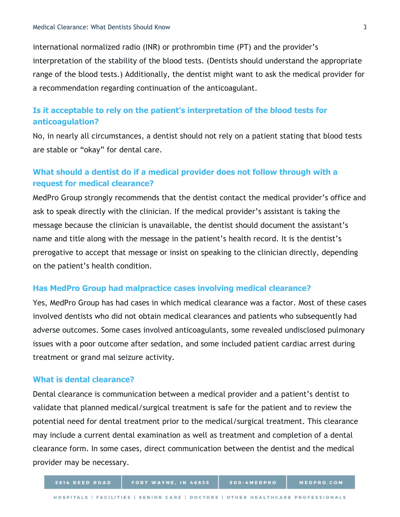international normalized radio (INR) or prothrombin time (PT) and the provider's interpretation of the stability of the blood tests. (Dentists should understand the appropriate range of the blood tests.) Additionally, the dentist might want to ask the medical provider for a recommendation regarding continuation of the anticoagulant.

# **Is it acceptable to rely on the patient's interpretation of the blood tests for anticoagulation?**

No, in nearly all circumstances, a dentist should not rely on a patient stating that blood tests are stable or "okay" for dental care.

# **What should a dentist do if a medical provider does not follow through with a request for medical clearance?**

MedPro Group strongly recommends that the dentist contact the medical provider's office and ask to speak directly with the clinician. If the medical provider's assistant is taking the message because the clinician is unavailable, the dentist should document the assistant's name and title along with the message in the patient's health record. It is the dentist's prerogative to accept that message or insist on speaking to the clinician directly, depending on the patient's health condition.

## **Has MedPro Group had malpractice cases involving medical clearance?**

Yes, MedPro Group has had cases in which medical clearance was a factor. Most of these cases involved dentists who did not obtain medical clearances and patients who subsequently had adverse outcomes. Some cases involved anticoagulants, some revealed undisclosed pulmonary issues with a poor outcome after sedation, and some included patient cardiac arrest during treatment or grand mal seizure activity.

### **What is dental clearance?**

Dental clearance is communication between a medical provider and a patient's dentist to validate that planned medical/surgical treatment is safe for the patient and to review the potential need for dental treatment prior to the medical/surgical treatment. This clearance may include a current dental examination as well as treatment and completion of a dental clearance form. In some cases, direct communication between the dentist and the medical provider may be necessary.

FORT WAYNE, IN 46835

800-4MEDPRO